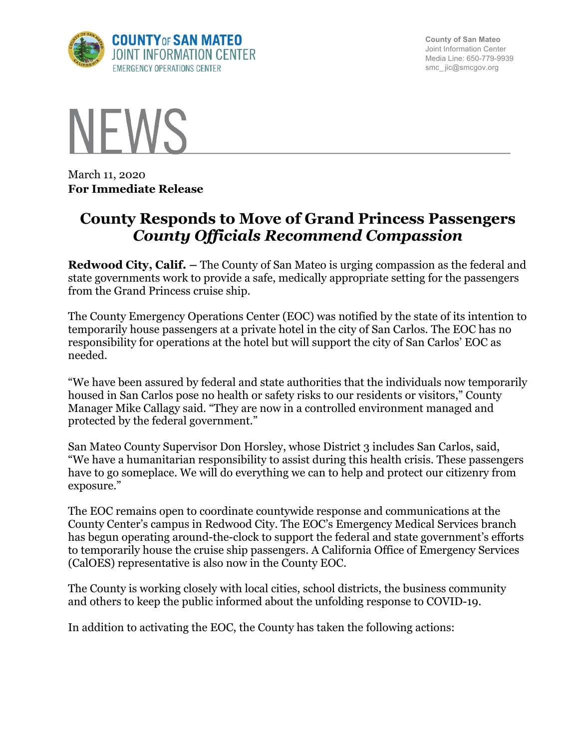

**County of San Mateo** Joint Information Center Media Line: 650-779-9939 smc\_ jic@smcgov.org



March 11, 2020 **For Immediate Release**

## **County Responds to Move of Grand Princess Passengers** *County Officials Recommend Compassion*

**Redwood City, Calif. –** The County of San Mateo is urging compassion as the federal and state governments work to provide a safe, medically appropriate setting for the passengers from the Grand Princess cruise ship.

The County Emergency Operations Center (EOC) was notified by the state of its intention to temporarily house passengers at a private hotel in the city of San Carlos. The EOC has no responsibility for operations at the hotel but will support the city of San Carlos' EOC as needed.

"We have been assured by federal and state authorities that the individuals now temporarily housed in San Carlos pose no health or safety risks to our residents or visitors," County Manager Mike Callagy said. "They are now in a controlled environment managed and protected by the federal government."

San Mateo County Supervisor Don Horsley, whose District 3 includes San Carlos, said, "We have a humanitarian responsibility to assist during this health crisis. These passengers have to go someplace. We will do everything we can to help and protect our citizenry from exposure."

The EOC remains open to coordinate countywide response and communications at the County Center's campus in Redwood City. The EOC's Emergency Medical Services branch has begun operating around-the-clock to support the federal and state government's efforts to temporarily house the cruise ship passengers. A California Office of Emergency Services (CalOES) representative is also now in the County EOC.

The County is working closely with local cities, school districts, the business community and others to keep the public informed about the unfolding response to COVID-19.

In addition to activating the EOC, the County has taken the following actions: